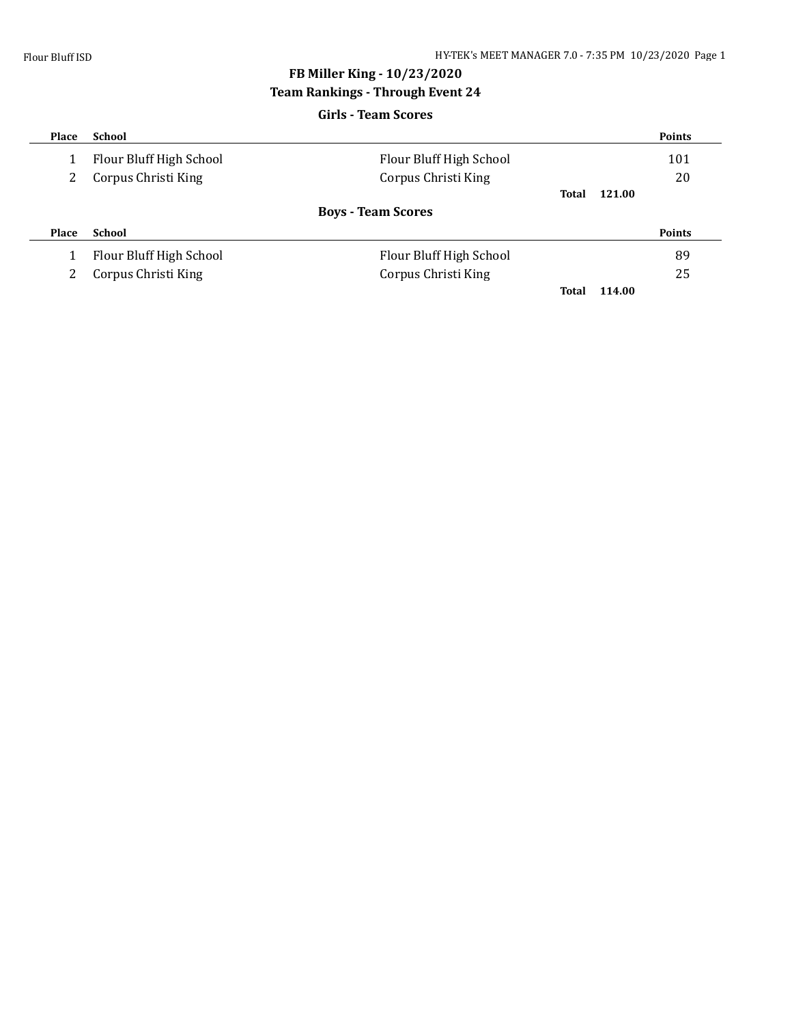# **FB Miller King - 10/23/2020**

# **Team Rankings - Through Event 24**

| <b>Girls - Team Scores</b> |                         |                           |              |        |               |  |  |  |
|----------------------------|-------------------------|---------------------------|--------------|--------|---------------|--|--|--|
| Place                      | School                  |                           |              |        | <b>Points</b> |  |  |  |
|                            | Flour Bluff High School | Flour Bluff High School   |              |        | 101           |  |  |  |
|                            | Corpus Christi King     | Corpus Christi King       |              |        | 20            |  |  |  |
|                            |                         |                           | <b>Total</b> | 121.00 |               |  |  |  |
|                            |                         | <b>Boys - Team Scores</b> |              |        |               |  |  |  |
| Place                      | School                  |                           |              |        | <b>Points</b> |  |  |  |
|                            | Flour Bluff High School | Flour Bluff High School   |              |        | 89            |  |  |  |
|                            | Corpus Christi King     | Corpus Christi King       |              |        | 25            |  |  |  |
|                            |                         |                           | Total        | 114.00 |               |  |  |  |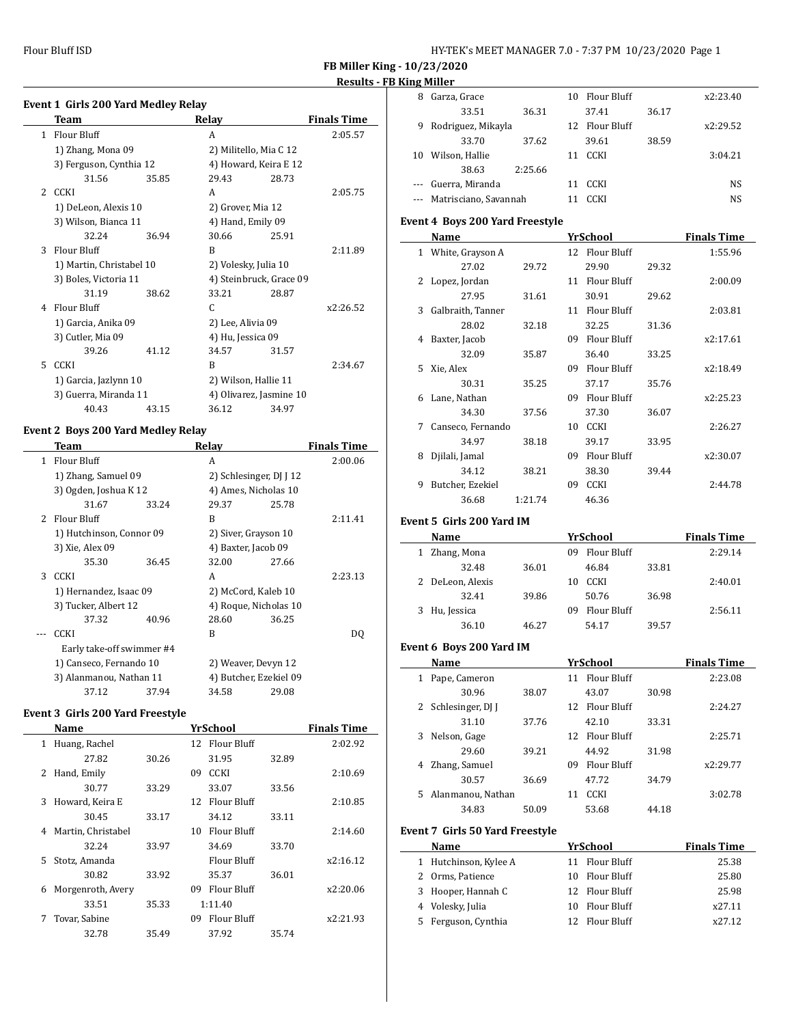$\overline{a}$ 

| HY-TEK's MEET MANAGER 7.0 - 7:37 PM 10/23/2020 Page 1 |  |  |  |
|-------------------------------------------------------|--|--|--|
|-------------------------------------------------------|--|--|--|

**FB Miller King - 10/23/2020**

# **Results - FB King Miller**

|                | Event 1 Girls 200 Yard Medley Relay |       |                      |                         |                    |
|----------------|-------------------------------------|-------|----------------------|-------------------------|--------------------|
|                | Team                                |       | Relay                |                         | <b>Finals Time</b> |
| $\mathbf{1}$   | Flour Bluff                         |       | A                    |                         | 2:05.57            |
|                | 1) Zhang, Mona 09                   |       |                      | 2) Militello, Mia C 12  |                    |
|                | 3) Ferguson, Cynthia 12             |       |                      | 4) Howard, Keira E 12   |                    |
|                | 31.56                               | 35.85 | 29.43                | 28.73                   |                    |
| $\overline{2}$ | CCKI                                |       | A                    |                         | 2:05.75            |
|                | 1) DeLeon, Alexis 10                |       | 2) Grover, Mia 12    |                         |                    |
|                | 3) Wilson, Bianca 11                |       | 4) Hand, Emily 09    |                         |                    |
|                | 32.24                               | 36.94 | 30.66                | 25.91                   |                    |
| 3              | <b>Flour Bluff</b>                  |       | R                    |                         | 2:11.89            |
|                | 1) Martin, Christabel 10            |       | 2) Volesky, Julia 10 |                         |                    |
|                | 3) Boles, Victoria 11               |       |                      | 4) Steinbruck, Grace 09 |                    |
|                | 31.19                               | 38.62 | 33.21                | 28.87                   |                    |
| 4              | <b>Flour Bluff</b>                  |       | C.                   |                         | x2:26.52           |
|                | 1) Garcia, Anika 09                 |       | 2) Lee, Alivia 09    |                         |                    |
|                | 3) Cutler, Mia 09                   |       | 4) Hu, Jessica 09    |                         |                    |
|                | 39.26                               | 41.12 | 34.57                | 31.57                   |                    |
| 5.             | <b>CCKI</b>                         |       | R                    |                         | 2:34.67            |
|                | 1) Garcia, Jazlynn 10               |       | 2) Wilson, Hallie 11 |                         |                    |
|                | 3) Guerra, Miranda 11               |       |                      | 4) Olivarez, Jasmine 10 |                    |
|                | 40.43                               | 43.15 | 36.12                | 34.97                   |                    |
|                |                                     |       |                      |                         |                    |

# **Event 2 Boys 200 Yard Medley Relay**

|               | Team                      |       | Relay                   |       | <b>Finals Time</b> |
|---------------|---------------------------|-------|-------------------------|-------|--------------------|
| 1             | Flour Bluff               |       | A                       |       | 2:00.06            |
|               | 1) Zhang, Samuel 09       |       | 2) Schlesinger, DJ J 12 |       |                    |
|               | 3) Ogden, Joshua K 12     |       | 4) Ames, Nicholas 10    |       |                    |
|               | 31.67                     | 33.24 | 29.37                   | 25.78 |                    |
| $\mathcal{P}$ | <b>Flour Bluff</b>        |       | R                       |       | 2:11.41            |
|               | 1) Hutchinson, Connor 09  |       | 2) Siver, Grayson 10    |       |                    |
|               | 3) Xie, Alex 09           |       | 4) Baxter, Jacob 09     |       |                    |
|               | 35.30                     | 36.45 | 32.00                   | 27.66 |                    |
| 3             | <b>CCKI</b>               |       | A                       |       | 2:23.13            |
|               | 1) Hernandez, Isaac 09    |       | 2) McCord, Kaleb 10     |       |                    |
|               | 3) Tucker, Albert 12      |       | 4) Roque, Nicholas 10   |       |                    |
|               | 37.32                     | 40.96 | 28.60                   | 36.25 |                    |
|               | CCKI                      |       | R                       |       | DO.                |
|               | Early take-off swimmer #4 |       |                         |       |                    |
|               | 1) Canseco, Fernando 10   |       | 2) Weaver, Devyn 12     |       |                    |
|               | 3) Alanmanou, Nathan 11   |       | 4) Butcher, Ezekiel 09  |       |                    |
|               | 37.12                     | 37.94 | 34.58                   | 29.08 |                    |

## **Event 3 Girls 200 Yard Freestyle**

|    | Name               |       |    | YrSchool           |       | <b>Finals Time</b> |
|----|--------------------|-------|----|--------------------|-------|--------------------|
| 1  | Huang, Rachel      |       |    | 12 Flour Bluff     |       | 2:02.92            |
|    | 27.82              | 30.26 |    | 31.95              | 32.89 |                    |
| 2  | Hand, Emily        |       | 09 | CCKI               |       | 2:10.69            |
|    | 30.77              | 33.29 |    | 33.07              | 33.56 |                    |
| 3  | Howard, Keira E    |       | 12 | <b>Flour Bluff</b> |       | 2:10.85            |
|    | 30.45              | 33.17 |    | 34.12              | 33.11 |                    |
| 4  | Martin, Christabel |       | 10 | <b>Flour Bluff</b> |       | 2:14.60            |
|    | 32.24              | 33.97 |    | 34.69              | 33.70 |                    |
| 5. | Stotz, Amanda      |       |    | Flour Bluff        |       | x2:16.12           |
|    | 30.82              | 33.92 |    | 35.37              | 36.01 |                    |
| 6  | Morgenroth, Avery  |       | 09 | <b>Flour Bluff</b> |       | x2:20.06           |
|    | 33.51              | 35.33 |    | 1:11.40            |       |                    |
| 7  | Tovar, Sabine      |       | 09 | <b>Flour Bluff</b> |       | x2:21.93           |
|    | 32.78              | 35.49 |    | 37.92              | 35.74 |                    |

| 8        | Garza, Grace          |         | 10 | Flour Bluff    |       | x2:23.40 |
|----------|-----------------------|---------|----|----------------|-------|----------|
|          | 33.51                 | 36.31   |    | 37.41          | 36.17 |          |
| 9        | Rodriguez, Mikayla    |         |    | 12 Flour Bluff |       | x2:29.52 |
|          | 33.70                 | 37.62   |    | 39.61          | 38.59 |          |
| 10       | Wilson, Hallie        |         | 11 | <b>CCKI</b>    |       | 3:04.21  |
|          | 38.63                 | 2:25.66 |    |                |       |          |
| $\cdots$ | Guerra, Miranda       |         | 11 | <b>CCKI</b>    |       | NS       |
|          | Matrisciano, Savannah |         |    | <b>CCKI</b>    |       | NS.      |
|          |                       |         |    |                |       |          |

# **Event 4 Boys 200 Yard Freestyle**

|    | Name              |         |    | YrSchool    |       | <b>Finals Time</b> |
|----|-------------------|---------|----|-------------|-------|--------------------|
| 1  | White, Grayson A  |         | 12 | Flour Bluff |       | 1:55.96            |
|    | 27.02             | 29.72   |    | 29.90       | 29.32 |                    |
| 2  | Lopez, Jordan     |         | 11 | Flour Bluff |       | 2:00.09            |
|    | 27.95             | 31.61   |    | 30.91       | 29.62 |                    |
| 3  | Galbraith, Tanner |         | 11 | Flour Bluff |       | 2:03.81            |
|    | 28.02             | 32.18   |    | 32.25       | 31.36 |                    |
| 4  | Baxter, Jacob     |         | 09 | Flour Bluff |       | x2:17.61           |
|    | 32.09             | 35.87   |    | 36.40       | 33.25 |                    |
| 5. | Xie, Alex         |         | 09 | Flour Bluff |       | x2:18.49           |
|    | 30.31             | 35.25   |    | 37.17       | 35.76 |                    |
| 6  | Lane, Nathan      |         | 09 | Flour Bluff |       | x2:25.23           |
|    | 34.30             | 37.56   |    | 37.30       | 36.07 |                    |
| 7  | Canseco, Fernando |         | 10 | <b>CCKI</b> |       | 2:26.27            |
|    | 34.97             | 38.18   |    | 39.17       | 33.95 |                    |
| 8  | Djilali, Jamal    |         | 09 | Flour Bluff |       | x2:30.07           |
|    | 34.12             | 38.21   |    | 38.30       | 39.44 |                    |
| 9  | Butcher, Ezekiel  |         | 09 | <b>CCKI</b> |       | 2:44.78            |
|    | 36.68             | 1:21.74 |    | 46.36       |       |                    |
|    |                   |         |    |             |       |                    |

## **Event 5 Girls 200 Yard IM**

|    | Name             |       |    | YrSchool    |       | <b>Finals Time</b> |
|----|------------------|-------|----|-------------|-------|--------------------|
| 1  | Zhang, Mona      |       | 09 | Flour Bluff |       | 2:29.14            |
|    | 32.48            | 36.01 |    | 46.84       | 33.81 |                    |
|    | 2 DeLeon, Alexis |       | 10 | <b>CCKI</b> |       | 2:40.01            |
|    | 32.41            | 39.86 |    | 50.76       | 36.98 |                    |
| 3. | Hu, Jessica      |       | 09 | Flour Bluff |       | 2:56.11            |
|    | 36.10            | 46.27 |    | 54.17       | 39.57 |                    |

# **Event 6 Boys 200 Yard IM**

|                                        | Name                |       |    | YrSchool                         |       | <b>Finals Time</b> |
|----------------------------------------|---------------------|-------|----|----------------------------------|-------|--------------------|
| 1                                      | Pape, Cameron       |       |    | 11 Flour Bluff                   |       | 2:23.08            |
|                                        | 30.96               | 38.07 |    | 43.07                            | 30.98 |                    |
| 2                                      | Schlesinger, DJ J   |       |    | 12 Flour Bluff                   |       | 2:24.27            |
|                                        | 31.10               | 37.76 |    | 42.10                            | 33.31 |                    |
| 3                                      | Nelson, Gage        |       |    | 12 Flour Bluff                   |       | 2:25.71            |
|                                        | 29.60               | 39.21 |    | 44.92                            | 31.98 |                    |
| 4                                      | Zhang, Samuel       |       | 09 | Flour Bluff                      |       | x2:29.77           |
|                                        | 30.57               | 36.69 |    | 47.72                            | 34.79 |                    |
| 5.                                     | Alanmanou, Nathan   |       | 11 | <b>CCKI</b>                      |       | 3:02.78            |
|                                        | 34.83               | 50.09 |    | 53.68                            | 44.18 |                    |
| <b>Event 7 Girls 50 Yard Freestyle</b> |                     |       |    |                                  |       |                    |
|                                        | Name                |       |    | YrSchool                         |       | <b>Finals Time</b> |
| 1                                      | Hutchinson, Kylee A |       |    | 11 Flour Bluff                   |       | 25.38              |
|                                        | 2. Orma Dationeo    |       |    | $10$ $\Box$ $\Box$ $\Box$ $\Box$ |       | <b>DE ON</b>       |

| <b>1</b> THE THE THE THE THE T | 11 FIOUI DIUII | 20.00  |
|--------------------------------|----------------|--------|
| 2 Orms, Patience               | 10 Flour Bluff | 25.80  |
| 3 Hooper, Hannah C             | 12 Flour Bluff | 25.98  |
| 4 Volesky, Julia               | 10 Flour Bluff | x27.11 |
| 5 Ferguson, Cynthia            | 12 Flour Bluff | x27.12 |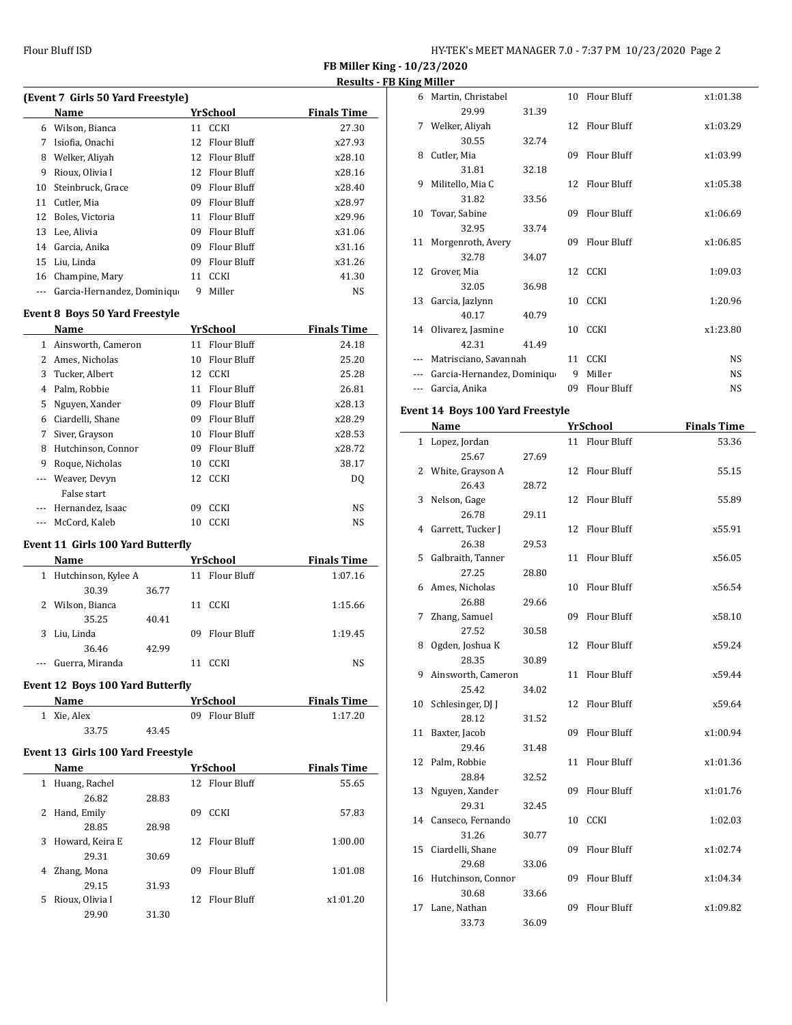**FB Miller King - 10/23/2020 Results - FB King Miller**

|     | (Event 7 Girls 50 Yard Freestyle) |     |                    |                    |  |  |  |
|-----|-----------------------------------|-----|--------------------|--------------------|--|--|--|
|     | Name                              |     | YrSchool           | <b>Finals Time</b> |  |  |  |
| 6   | Wilson, Bianca                    |     | 11 CCKI            | 27.30              |  |  |  |
| 7   | Isiofia, Onachi                   | 12. | Flour Bluff        | x27.93             |  |  |  |
| 8   | Welker, Aliyah                    | 12  | <b>Flour Bluff</b> | x28.10             |  |  |  |
| 9   | Rioux, Olivia I                   | 12  | Flour Bluff        | x28.16             |  |  |  |
| 10  | Steinbruck. Grace                 | 09  | Flour Bluff        | x28.40             |  |  |  |
| 11  | Cutler, Mia                       | 09  | Flour Bluff        | x28.97             |  |  |  |
| 12  | Boles, Victoria                   | 11  | Flour Bluff        | x29.96             |  |  |  |
| 13  | Lee, Alivia                       | 09  | Flour Bluff        | x31.06             |  |  |  |
| 14  | Garcia, Anika                     | 09  | Flour Bluff        | x31.16             |  |  |  |
| 15  | Liu, Linda                        | 09  | Flour Bluff        | x31.26             |  |  |  |
| 16  | Champine, Mary                    | 11  | CCKI               | 41.30              |  |  |  |
| --- | Garcia-Hernandez, Dominiqu        | 9   | Miller             | NS                 |  |  |  |

# **Event 8 Boys 50 Yard Freestyle**

|               | Name               |    | <b>YrSchool</b> | <b>Finals Time</b> |
|---------------|--------------------|----|-----------------|--------------------|
| 1             | Ainsworth, Cameron | 11 | Flour Bluff     | 24.18              |
| 2             | Ames, Nicholas     | 10 | Flour Bluff     | 25.20              |
| 3             | Tucker, Albert     | 12 | <b>CCKI</b>     | 25.28              |
| 4             | Palm, Robbie       | 11 | Flour Bluff     | 26.81              |
| 5             | Nguyen, Xander     | 09 | Flour Bluff     | x28.13             |
| 6             | Ciardelli, Shane   | 09 | Flour Bluff     | x28.29             |
| 7             | Siver, Grayson     | 10 | Flour Bluff     | x28.53             |
| 8             | Hutchinson, Connor | 09 | Flour Bluff     | x28.72             |
| 9             | Roque, Nicholas    | 10 | <b>CCKI</b>     | 38.17              |
|               | Weaver, Devyn      | 12 | <b>CCKI</b>     | DQ                 |
|               | False start        |    |                 |                    |
| $\frac{1}{2}$ | Hernandez, Isaac   | 09 | <b>CCKI</b>     | NS                 |
|               | McCord, Kaleb      | 10 | <b>CCKI</b>     | NS                 |

#### **Event 11 Girls 100 Yard Butterfly**

|          | Name                  |       |     | YrSchool    | <b>Finals Time</b> |
|----------|-----------------------|-------|-----|-------------|--------------------|
|          | 1 Hutchinson, Kylee A |       | 11  | Flour Bluff | 1:07.16            |
|          | 30.39                 | 36.77 |     |             |                    |
|          | 2 Wilson, Bianca      |       | 11  | CCKI        | 1:15.66            |
|          | 35.25                 | 40.41 |     |             |                    |
| 3        | Liu, Linda            |       | 09. | Flour Bluff | 1:19.45            |
|          | 36.46                 | 42.99 |     |             |                    |
| $\cdots$ | Guerra, Miranda       |       |     | CCKI        | NS.                |
|          |                       |       |     |             |                    |

#### **Event 12 Boys 100 Yard Butterfly**

| <b>Name</b> |       | <b>YrSchool</b> | <b>Finals Time</b> |
|-------------|-------|-----------------|--------------------|
| 1 Xie. Alex |       | 09 Flour Bluff  | 1:17.20            |
| 33.75       | 43.45 |                 |                    |

#### **Event 13 Girls 100 Yard Freestyle**

|    | Name              |       |    | YrSchool       | <b>Finals Time</b> |
|----|-------------------|-------|----|----------------|--------------------|
| 1  | Huang, Rachel     |       |    | 12 Flour Bluff | 55.65              |
|    | 26.82             | 28.83 |    |                |                    |
| 2  | Hand, Emily       |       | 09 | <b>CCKI</b>    | 57.83              |
|    | 28.85             | 28.98 |    |                |                    |
|    | 3 Howard, Keira E |       |    | 12 Flour Bluff | 1:00.00            |
|    | 29.31             | 30.69 |    |                |                    |
| 4  | Zhang, Mona       |       | 09 | Flour Bluff    | 1:01.08            |
|    | 29.15             | 31.93 |    |                |                    |
| 5. | Rioux, Olivia I   |       |    | 12 Flour Bluff | x1:01.20           |
|    | 29.90             | 31.30 |    |                |                    |

| 6  | Martin, Christabel          |       |     | 10 Flour Bluff     | x1:01.38  |
|----|-----------------------------|-------|-----|--------------------|-----------|
|    | 29.99                       | 31.39 |     |                    |           |
| 7  | Welker, Aliyah              |       |     | 12 Flour Bluff     | x1:03.29  |
|    | 30.55                       | 32.74 |     |                    |           |
| 8  | Cutler, Mia                 |       | 09  | <b>Flour Bluff</b> | x1:03.99  |
|    | 31.81                       | 32.18 |     |                    |           |
| 9  | Militello, Mia C            |       |     | 12 Flour Bluff     | x1:05.38  |
|    | 31.82                       | 33.56 |     |                    |           |
| 10 | Tovar, Sabine               |       | 09  | <b>Flour Bluff</b> | x1:06.69  |
|    | 32.95                       | 33.74 |     |                    |           |
| 11 | Morgenroth, Avery           |       | 09. | Flour Bluff        | x1:06.85  |
|    | 32.78                       | 34.07 |     |                    |           |
| 12 | Grover, Mia                 |       |     | 12 CCKI            | 1:09.03   |
|    | 32.05                       | 36.98 |     |                    |           |
| 13 | Garcia, Jazlynn             |       |     | 10 CCKI            | 1:20.96   |
|    | 40.17                       | 40.79 |     |                    |           |
| 14 | Olivarez, Jasmine           |       | 10  | <b>CCKI</b>        | x1:23.80  |
|    | 42.31                       | 41.49 |     |                    |           |
|    | Matrisciano, Savannah       |       | 11  | <b>CCKI</b>        | <b>NS</b> |
|    | Garcia-Hernandez, Dominique |       | 9   | Miller             | <b>NS</b> |
|    | Garcia, Anika               |       | 09  | Flour Bluff        | <b>NS</b> |

#### **Event 14 Boys 100 Yard Freestyle**

|    | Name                 |       |    | <b>YrSchool</b>    | <b>Finals Time</b> |
|----|----------------------|-------|----|--------------------|--------------------|
|    | 1 Lopez, Jordan      |       |    | 11 Flour Bluff     | 53.36              |
|    | 25.67                | 27.69 |    |                    |                    |
| 2  | White, Grayson A     |       | 12 | Flour Bluff        | 55.15              |
|    | 26.43                | 28.72 |    |                    |                    |
| 3  | Nelson, Gage         |       | 12 | <b>Flour Bluff</b> | 55.89              |
|    | 26.78                | 29.11 |    |                    |                    |
| 4  | Garrett, Tucker J    |       | 12 | Flour Bluff        | x55.91             |
|    | 26.38                | 29.53 |    |                    |                    |
|    | 5 Galbraith, Tanner  |       | 11 | Flour Bluff        | x56.05             |
|    | 27.25                | 28.80 |    |                    |                    |
|    | 6 Ames, Nicholas     |       | 10 | <b>Flour Bluff</b> | x56.54             |
|    | 26.88                | 29.66 |    |                    |                    |
| 7  | Zhang, Samuel        |       | 09 | Flour Bluff        | x58.10             |
|    | 27.52                | 30.58 |    |                    |                    |
| 8  | Ogden, Joshua K      |       | 12 | Flour Bluff        | x59.24             |
|    | 28.35                | 30.89 |    |                    |                    |
| 9  | Ainsworth, Cameron   |       | 11 | Flour Bluff        | x59.44             |
|    | 25.42                | 34.02 |    |                    |                    |
|    | 10 Schlesinger, DJ J |       | 12 | <b>Flour Bluff</b> | x59.64             |
|    | 28.12                | 31.52 |    |                    |                    |
| 11 | Baxter, Jacob        |       | 09 | <b>Flour Bluff</b> | x1:00.94           |
|    | 29.46                | 31.48 |    |                    |                    |
| 12 | Palm, Robbie         |       | 11 | Flour Bluff        | x1:01.36           |
|    | 28.84                | 32.52 |    |                    |                    |
| 13 | Nguyen, Xander       |       | 09 | <b>Flour Bluff</b> | x1:01.76           |
|    | 29.31                | 32.45 |    |                    |                    |
|    | 14 Canseco, Fernando |       | 10 | CCKI               | 1:02.03            |
|    | 31.26                | 30.77 |    |                    |                    |
| 15 | Ciardelli, Shane     |       | 09 | <b>Flour Bluff</b> | x1:02.74           |
|    | 29.68                | 33.06 |    |                    |                    |
| 16 | Hutchinson, Connor   |       | 09 | <b>Flour Bluff</b> | x1:04.34           |
|    | 30.68                | 33.66 |    |                    |                    |
| 17 | Lane, Nathan         |       | 09 | Flour Bluff        | x1:09.82           |
|    | 33.73                | 36.09 |    |                    |                    |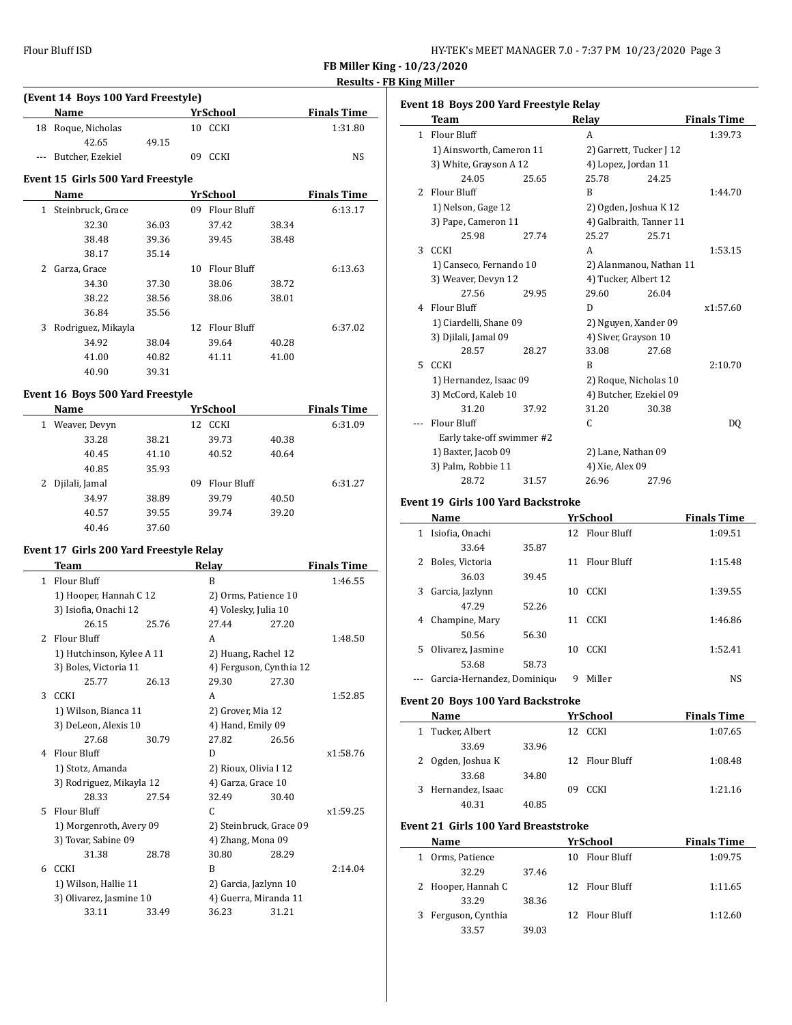| HY-TEK's MEET MANAGER 7.0 - 7:37 PM 10/23/2020 Page 3 |  |  |  |
|-------------------------------------------------------|--|--|--|
|-------------------------------------------------------|--|--|--|

**FB Miller King - 10/23/2020 Results - FB King Miller**

 $\overline{a}$ 

 $\overline{a}$ 

# **(Event 14 Boys 100 Yard Freestyle) Name** *YrSchool* **<b>Finals Time** 18 Roque, Nicholas 10 CCKI 1:31.80 42.65 49.15 --- Butcher, Ezekiel 09 CCKI NS

#### **Event 15 Girls 500 Yard Freestyle**

| Name                    |       |    | YrSchool    |       | <b>Finals Time</b> |
|-------------------------|-------|----|-------------|-------|--------------------|
| Steinbruck, Grace<br>1  |       | 09 | Flour Bluff |       | 6:13.17            |
| 32.30                   | 36.03 |    | 37.42       | 38.34 |                    |
| 38.48                   | 39.36 |    | 39.45       | 38.48 |                    |
| 38.17                   | 35.14 |    |             |       |                    |
| 2<br>Garza, Grace       |       | 10 | Flour Bluff |       | 6:13.63            |
| 34.30                   | 37.30 |    | 38.06       | 38.72 |                    |
| 38.22                   | 38.56 |    | 38.06       | 38.01 |                    |
| 36.84                   | 35.56 |    |             |       |                    |
| 3<br>Rodriguez, Mikayla |       | 12 | Flour Bluff |       | 6:37.02            |
| 34.92                   | 38.04 |    | 39.64       | 40.28 |                    |
| 41.00                   | 40.82 |    | 41.11       | 41.00 |                    |
| 40.90                   | 39.31 |    |             |       |                    |

#### **Event 16 Boys 500 Yard Freestyle**

| Name                |       | YrSchool          |       | <b>Finals Time</b> |
|---------------------|-------|-------------------|-------|--------------------|
| Weaver, Devyn<br>1  |       | CCKI<br>12        |       | 6:31.09            |
| 33.28               | 38.21 | 39.73             | 40.38 |                    |
| 40.45               | 41.10 | 40.52             | 40.64 |                    |
| 40.85               | 35.93 |                   |       |                    |
| Djilali, Jamal<br>2 |       | Flour Bluff<br>09 |       | 6:31.27            |
| 34.97               | 38.89 | 39.79             | 40.50 |                    |
| 40.57               | 39.55 | 39.74             | 39.20 |                    |
| 40.46               | 37.60 |                   |       |                    |

#### **Event 17 Girls 200 Yard Freestyle Relay**

|    | Team                      |       | Relay                   |       | <b>Finals Time</b> |
|----|---------------------------|-------|-------------------------|-------|--------------------|
| 1  | Flour Bluff               |       | B                       |       | 1:46.55            |
|    | 1) Hooper, Hannah C 12    |       | 2) Orms, Patience 10    |       |                    |
|    | 3) Isiofia, Onachi 12     |       | 4) Volesky, Julia 10    |       |                    |
|    | 26.15                     | 25.76 | 27.44                   | 27.20 |                    |
| 2  | Flour Bluff               |       | A                       |       | 1:48.50            |
|    | 1) Hutchinson, Kylee A 11 |       | 2) Huang, Rachel 12     |       |                    |
|    | 3) Boles, Victoria 11     |       | 4) Ferguson, Cynthia 12 |       |                    |
|    | 25.77                     | 26.13 | 29.30                   | 27.30 |                    |
| 3  | <b>CCKI</b>               |       | A                       |       | 1:52.85            |
|    | 1) Wilson, Bianca 11      |       | 2) Grover, Mia 12       |       |                    |
|    | 3) DeLeon, Alexis 10      |       | 4) Hand, Emily 09       |       |                    |
|    | 27.68                     | 30.79 | 27.82                   | 26.56 |                    |
| 4  | Flour Bluff               |       | D                       |       | x1:58.76           |
|    | 1) Stotz, Amanda          |       | 2) Rioux, Olivia I 12   |       |                    |
|    | 3) Rodriguez, Mikayla 12  |       | 4) Garza, Grace 10      |       |                    |
|    | 28.33                     | 27.54 | 32.49                   | 30.40 |                    |
| 5. | <b>Flour Bluff</b>        |       | C.                      |       | x1:59.25           |
|    | 1) Morgenroth, Avery 09   |       | 2) Steinbruck, Grace 09 |       |                    |
|    | 3) Tovar, Sabine 09       |       | 4) Zhang, Mona 09       |       |                    |
|    | 31.38                     | 28.78 | 30.80                   | 28.29 |                    |
| 6  | CCKI                      |       | B                       |       | 2:14.04            |
|    | 1) Wilson, Hallie 11      |       | 2) Garcia, Jazlynn 10   |       |                    |
|    | 3) Olivarez, Jasmine 10   |       | 4) Guerra, Miranda 11   |       |                    |
|    | 33.11                     | 33.49 | 36.23                   | 31.21 |                    |

| Event 18 Boys 200 Yard Freestyle Relay |                           |       |                      |                         |                    |  |
|----------------------------------------|---------------------------|-------|----------------------|-------------------------|--------------------|--|
|                                        | <b>Team</b>               |       | Relay                |                         | <b>Finals Time</b> |  |
|                                        | 1 Flour Bluff             |       | A                    |                         | 1:39.73            |  |
|                                        | 1) Ainsworth, Cameron 11  |       |                      | 2) Garrett, Tucker J 12 |                    |  |
|                                        | 3) White, Grayson A 12    |       | 4) Lopez, Jordan 11  |                         |                    |  |
|                                        | 24.05                     | 25.65 | 25.78                | 24.25                   |                    |  |
| 2                                      | <b>Flour Bluff</b>        |       | B                    |                         | 1:44.70            |  |
|                                        | 1) Nelson, Gage 12        |       |                      | 2) Ogden, Joshua K 12   |                    |  |
|                                        | 3) Pape, Cameron 11       |       |                      | 4) Galbraith, Tanner 11 |                    |  |
|                                        | 25.98                     | 27.74 | 25.27                | 25.71                   |                    |  |
| 3                                      | CCKI                      |       | A                    |                         | 1:53.15            |  |
|                                        | 1) Canseco, Fernando 10   |       |                      | 2) Alanmanou, Nathan 11 |                    |  |
|                                        | 3) Weaver, Devyn 12       |       | 4) Tucker, Albert 12 |                         |                    |  |
|                                        | 27.56                     | 29.95 | 29.60                | 26.04                   |                    |  |
| 4                                      | Flour Bluff               |       | D                    |                         | x1:57.60           |  |
|                                        | 1) Ciardelli, Shane 09    |       |                      | 2) Nguyen, Xander 09    |                    |  |
|                                        | 3) Djilali, Jamal 09      |       | 4) Siver, Grayson 10 |                         |                    |  |
|                                        | 28.57                     | 28.27 | 33.08                | 27.68                   |                    |  |
| 5.                                     | CCKI                      |       | B                    |                         | 2:10.70            |  |
|                                        | 1) Hernandez, Isaac 09    |       |                      | 2) Roque, Nicholas 10   |                    |  |
|                                        | 3) McCord, Kaleb 10       |       |                      | 4) Butcher, Ezekiel 09  |                    |  |
|                                        | 31.20                     | 37.92 | 31.20                | 30.38                   |                    |  |
|                                        | Flour Bluff               |       | C                    |                         | D <sub>0</sub>     |  |
|                                        | Early take-off swimmer #2 |       |                      |                         |                    |  |
|                                        | 1) Baxter, Jacob 09       |       | 2) Lane, Nathan 09   |                         |                    |  |
|                                        | 3) Palm, Robbie 11        |       | 4) Xie, Alex 09      |                         |                    |  |
|                                        | 28.72                     | 31.57 | 26.96                | 27.96                   |                    |  |

#### **Event 19 Girls 100 Yard Backstroke**

|    | Name                        |       |    | YrSchool       | <b>Finals Time</b> |
|----|-----------------------------|-------|----|----------------|--------------------|
| 1  | Isiofia, Onachi             |       |    | 12 Flour Bluff | 1:09.51            |
|    | 33.64                       | 35.87 |    |                |                    |
| 2  | Boles, Victoria             |       |    | 11 Flour Bluff | 1:15.48            |
|    | 36.03                       | 39.45 |    |                |                    |
| 3  | Garcia, Jazlynn             |       | 10 | <b>CCKI</b>    | 1:39.55            |
|    | 47.29                       | 52.26 |    |                |                    |
| 4  | Champine, Mary              |       | 11 | <b>CCKI</b>    | 1:46.86            |
|    | 50.56                       | 56.30 |    |                |                    |
| 5. | Olivarez, Jasmine           |       | 10 | <b>CCKI</b>    | 1:52.41            |
|    | 53.68                       | 58.73 |    |                |                    |
|    | Garcia-Hernandez, Dominique |       | 9  | Miller         | NS                 |
|    |                             |       |    |                |                    |

#### **Event 20 Boys 100 Yard Backstroke**

| Name               |       | YrSchool          | <b>Finals Time</b> |
|--------------------|-------|-------------------|--------------------|
| 1 Tucker, Albert   |       | <b>CCKI</b><br>12 | 1:07.65            |
| 33.69              | 33.96 |                   |                    |
| 2 Ogden, Joshua K  |       | 12 Flour Bluff    | 1:08.48            |
| 33.68              | 34.80 |                   |                    |
| 3 Hernandez, Isaac |       | <b>CCKI</b><br>09 | 1:21.16            |
| 40.31              | 40.85 |                   |                    |

## **Event 21 Girls 100 Yard Breaststroke**

| Name                |       | YrSchool          | <b>Finals Time</b> |
|---------------------|-------|-------------------|--------------------|
| Orms, Patience<br>1 |       | Flour Bluff<br>10 | 1:09.75            |
| 32.29               | 37.46 |                   |                    |
| 2 Hooper, Hannah C  |       | 12 Flour Bluff    | 1:11.65            |
| 33.29               | 38.36 |                   |                    |
| 3 Ferguson, Cynthia |       | 12 Flour Bluff    | 1:12.60            |
| 33.57               | 39.03 |                   |                    |